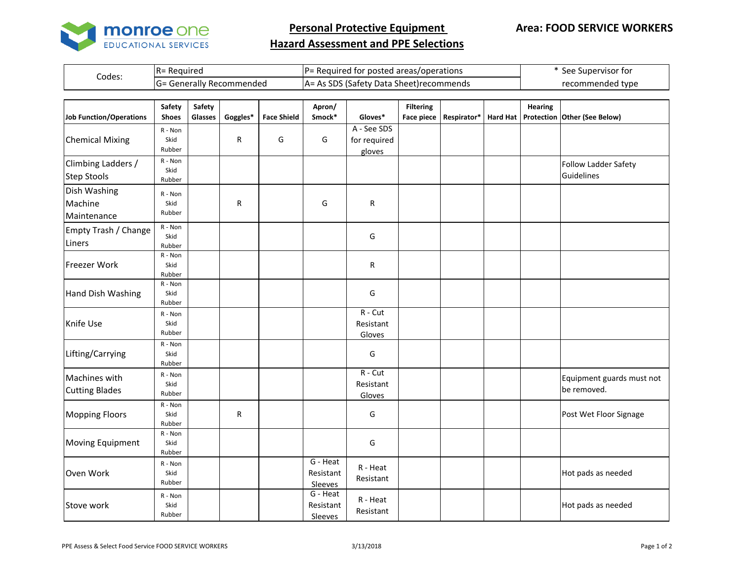

**Personal Protective Equipment** 

## **Hazard Assessment and PPE Selections**

| Codes: | <b>R</b> = Required            | IP= Required for posted areas/operations | 'See Supervisor for |  |  |
|--------|--------------------------------|------------------------------------------|---------------------|--|--|
|        | - Generally Recommended<br>=טו | A= As SDS (Safety Data Sheet) recommends | recommended type    |  |  |

| Job Function/Operations                  | Safety<br><b>Shoes</b>       | Safety<br>Glasses | Goggles* | <b>Face Shield</b> | Apron/<br>Smock*                 | Gloves*                               | <b>Filtering</b><br><b>Face piece</b> | Respirator* | <b>Hard Hat</b> | <b>Hearing</b> | Protection Other (See Below)             |
|------------------------------------------|------------------------------|-------------------|----------|--------------------|----------------------------------|---------------------------------------|---------------------------------------|-------------|-----------------|----------------|------------------------------------------|
| <b>Chemical Mixing</b>                   | $R - N$ on<br>Skid<br>Rubber |                   | R        | G                  | G                                | A - See SDS<br>for required<br>gloves |                                       |             |                 |                |                                          |
| Climbing Ladders /<br><b>Step Stools</b> | R - Non<br>Skid<br>Rubber    |                   |          |                    |                                  |                                       |                                       |             |                 |                | Follow Ladder Safety<br>Guidelines       |
| Dish Washing<br>Machine<br>Maintenance   | R - Non<br>Skid<br>Rubber    |                   | R        |                    | G                                | $\mathsf R$                           |                                       |             |                 |                |                                          |
| Empty Trash / Change<br>Liners           | R - Non<br>Skid<br>Rubber    |                   |          |                    |                                  | G                                     |                                       |             |                 |                |                                          |
| Freezer Work                             | $R - N$ on<br>Skid<br>Rubber |                   |          |                    |                                  | R                                     |                                       |             |                 |                |                                          |
| Hand Dish Washing                        | R - Non<br>Skid<br>Rubber    |                   |          |                    |                                  | G                                     |                                       |             |                 |                |                                          |
| Knife Use                                | R - Non<br>Skid<br>Rubber    |                   |          |                    |                                  | $R - Cut$<br>Resistant<br>Gloves      |                                       |             |                 |                |                                          |
| Lifting/Carrying                         | R - Non<br>Skid<br>Rubber    |                   |          |                    |                                  | G                                     |                                       |             |                 |                |                                          |
| Machines with<br><b>Cutting Blades</b>   | R - Non<br>Skid<br>Rubber    |                   |          |                    |                                  | $R - Cut$<br>Resistant<br>Gloves      |                                       |             |                 |                | Equipment guards must not<br>be removed. |
| <b>Mopping Floors</b>                    | R - Non<br>Skid<br>Rubber    |                   | R        |                    |                                  | G                                     |                                       |             |                 |                | Post Wet Floor Signage                   |
| Moving Equipment                         | $R - N$ on<br>Skid<br>Rubber |                   |          |                    |                                  | G                                     |                                       |             |                 |                |                                          |
| Oven Work                                | R - Non<br>Skid<br>Rubber    |                   |          |                    | G - Heat<br>Resistant<br>Sleeves | R - Heat<br>Resistant                 |                                       |             |                 |                | Hot pads as needed                       |
| Stove work                               | R - Non<br>Skid<br>Rubber    |                   |          |                    | G - Heat<br>Resistant<br>Sleeves | R - Heat<br>Resistant                 |                                       |             |                 |                | Hot pads as needed                       |